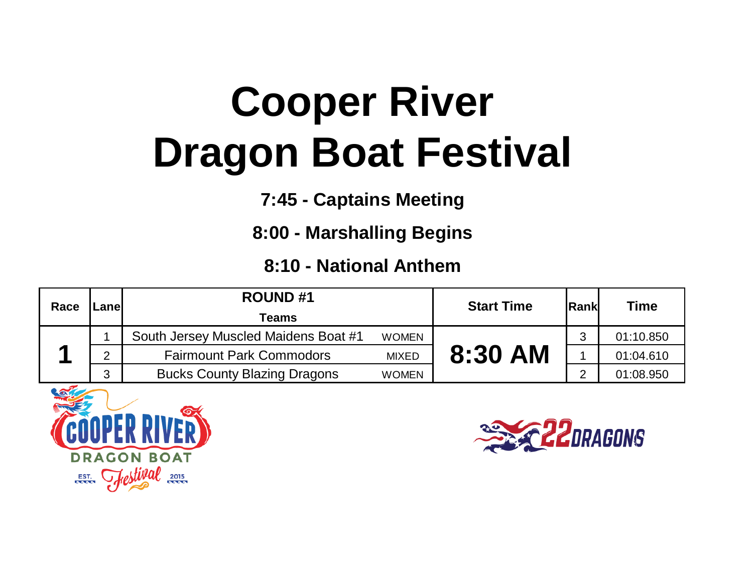## **Cooper River Dragon Boat Festival**

**7:45 - Captains Meeting**

**8:00 - Marshalling Begins**

**8:10 - National Anthem**

| Race | ∟anel | <b>ROUND#1</b>                       |              | <b>Start Time</b> | <b>Rank</b> | Time      |
|------|-------|--------------------------------------|--------------|-------------------|-------------|-----------|
|      |       | Teams                                |              |                   |             |           |
|      |       | South Jersey Muscled Maidens Boat #1 | <b>WOMEN</b> |                   |             | 01:10.850 |
|      | C     | <b>Fairmount Park Commodors</b>      | <b>MIXED</b> | 8:30 AM           |             | 01:04.610 |
|      | 3     | <b>Bucks County Blazing Dragons</b>  | <b>WOMEN</b> |                   |             | 01:08.950 |



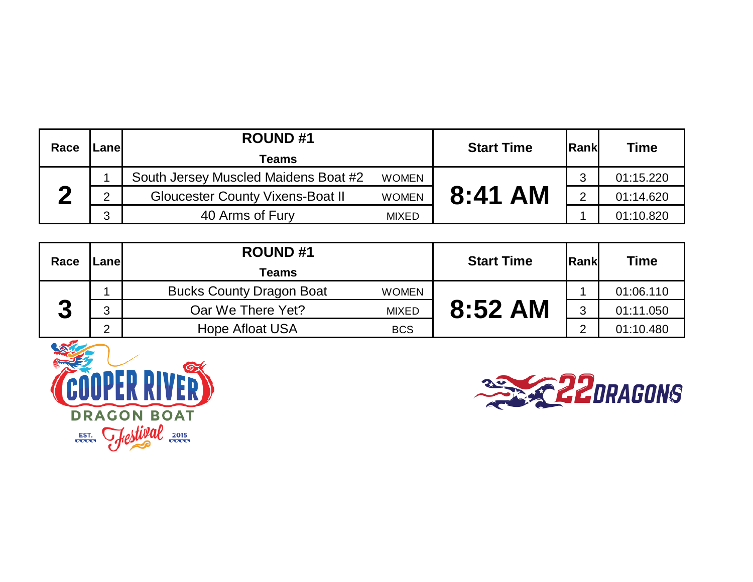| Race | .anel | <b>ROUND#1</b><br>Teams                 |              | <b>Start Time</b> | <b>IRank</b> | <b>Time</b> |
|------|-------|-----------------------------------------|--------------|-------------------|--------------|-------------|
|      |       | South Jersey Muscled Maidens Boat #2    | <b>WOMEN</b> |                   | っ            | 01:15.220   |
|      | ◠     | <b>Gloucester County Vixens-Boat II</b> | <b>WOMEN</b> | 8:41 AM           |              | 01:14.620   |
|      | 3     | 40 Arms of Fury                         | <b>MIXED</b> |                   |              | 01:10.820   |

| Race                          | .anel | <b>ROUND#1</b>                                  | <b>Start Time</b> | <b>Rank</b> | <b>Time</b> |
|-------------------------------|-------|-------------------------------------------------|-------------------|-------------|-------------|
|                               |       | Teams                                           |                   |             |             |
|                               |       | <b>Bucks County Dragon Boat</b><br><b>WOMEN</b> |                   |             | 01:06.110   |
| η<br>$\overline{\phantom{a}}$ | ◠     | Oar We There Yet?<br><b>MIXED</b>               | 8:52 AM           | 2           | 01:11.050   |
|                               | ⌒     | <b>Hope Afloat USA</b><br><b>BCS</b>            |                   | ⌒           | 01:10.480   |



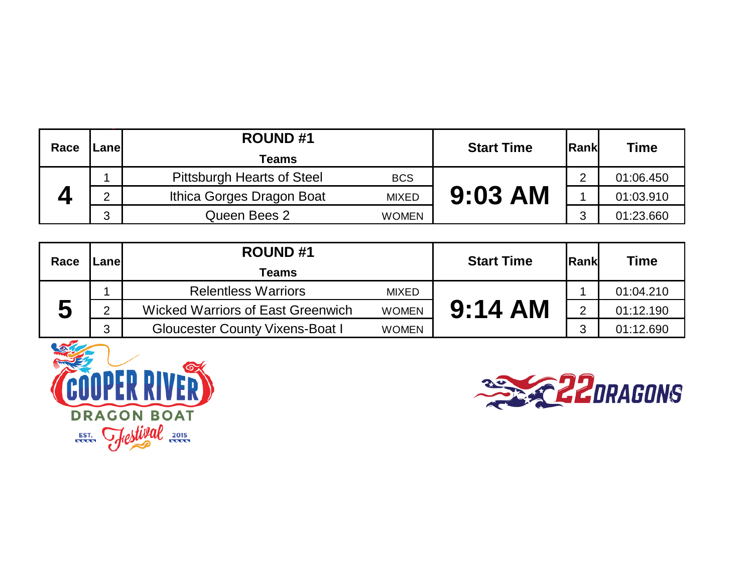| Race | .anel | <b>ROUND#1</b>                                  | <b>Start Time</b> | <b>Rank</b> | <b>Time</b> |
|------|-------|-------------------------------------------------|-------------------|-------------|-------------|
|      |       | Teams                                           |                   |             |             |
|      |       | <b>Pittsburgh Hearts of Steel</b><br><b>BCS</b> |                   | ⌒           | 01:06.450   |
|      | ⌒     | Ithica Gorges Dragon Boat<br><b>MIXED</b>       | $9:03$ AM         |             | 01:03.910   |
|      | ◠     | Queen Bees 2<br><b>WOMEN</b>                    |                   |             | 01:23.660   |

| Race | .anel         | <b>ROUND#1</b>                           |              | <b>Start Time</b> | Rank | <b>Time</b> |
|------|---------------|------------------------------------------|--------------|-------------------|------|-------------|
|      |               | <b>Teams</b>                             |              |                   |      |             |
|      |               | <b>Relentless Warriors</b>               | <b>MIXED</b> |                   |      | 01:04.210   |
| J    | $\mathcal{D}$ | <b>Wicked Warriors of East Greenwich</b> | <b>WOMEN</b> | $9:14$ AM         |      | 01:12.190   |
|      | 3             | <b>Gloucester County Vixens-Boat I</b>   | <b>WOMEN</b> |                   | ⌒    | 01:12.690   |



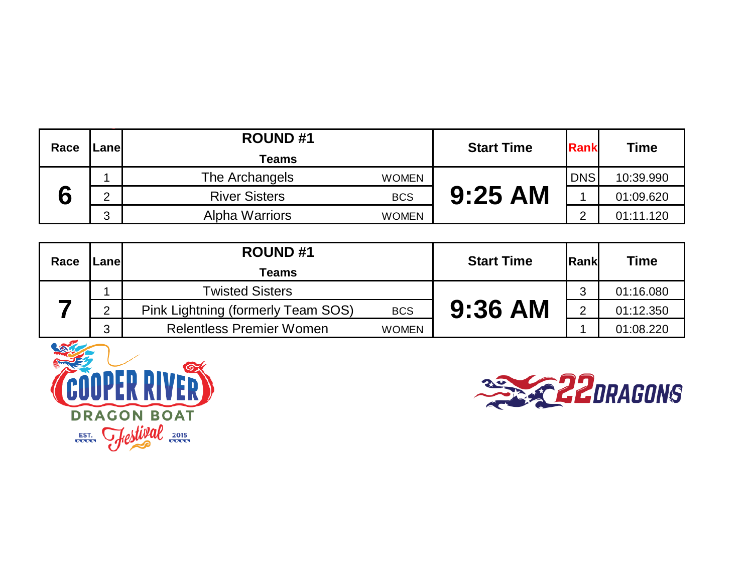| Race | .anel  | <b>ROUND#1</b>                        | <b>Start Time</b> | Rank       | Time      |
|------|--------|---------------------------------------|-------------------|------------|-----------|
|      |        | Teams                                 |                   |            |           |
|      |        | The Archangels<br><b>WOMEN</b>        |                   | <b>DNS</b> | 10:39.990 |
| ┍    | ⌒      | <b>River Sisters</b><br><b>BCS</b>    | <b>9:25 AM</b>    |            | 01:09.620 |
|      | ◠<br>ບ | <b>Alpha Warriors</b><br><b>WOMEN</b> |                   |            | 01:11.120 |

| Race | .anel          | <b>ROUND#1</b>                     |              | <b>Start Time</b> | Rank | <b>Time</b> |
|------|----------------|------------------------------------|--------------|-------------------|------|-------------|
|      |                | <b>Teams</b>                       |              |                   |      |             |
|      |                | <b>Twisted Sisters</b>             |              |                   | ◠    | 01:16.080   |
|      | $\overline{2}$ | Pink Lightning (formerly Team SOS) | <b>BCS</b>   | $9:36$ AM         | ⌒    | 01:12.350   |
|      | 3              | <b>Relentless Premier Women</b>    | <b>WOMEN</b> |                   |      | 01:08.220   |



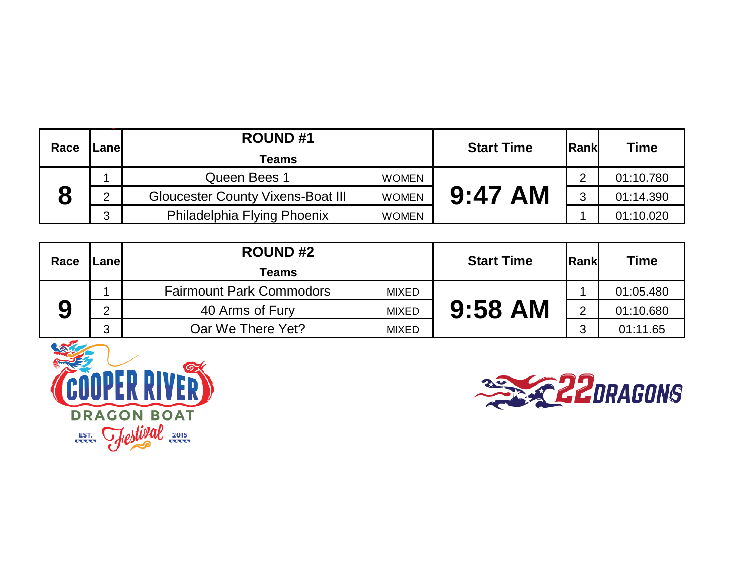| Race | .anel  | <b>ROUND#1</b>                           |              | <b>Start Time</b> | <b>IRank</b> | <b>Time</b> |
|------|--------|------------------------------------------|--------------|-------------------|--------------|-------------|
|      |        | Teams                                    |              |                   |              |             |
|      |        | Queen Bees 1                             | <b>WOMEN</b> |                   |              | 01:10.780   |
|      | ⌒      | <b>Gloucester County Vixens-Boat III</b> | <b>WOMEN</b> | $9:47$ AM         |              | 01:14.390   |
|      | 2<br>ບ | Philadelphia Flying Phoenix              | <b>WOMEN</b> |                   |              | 01:10.020   |

| Race | .anel  | <b>ROUND#2</b>                                  | <b>Start Time</b> | <b>Rank</b> | <b>Time</b> |
|------|--------|-------------------------------------------------|-------------------|-------------|-------------|
|      |        | <b>Teams</b>                                    |                   |             |             |
|      |        | <b>Fairmount Park Commodors</b><br><b>MIXED</b> |                   |             | 01:05.480   |
| 9    | ⌒      | 40 Arms of Fury<br><b>MIXED</b>                 | 9:58 AM           | ⌒           | 01:10.680   |
|      | ◠<br>J | Oar We There Yet?<br><b>MIXED</b>               |                   | ⌒           | 01:11.65    |



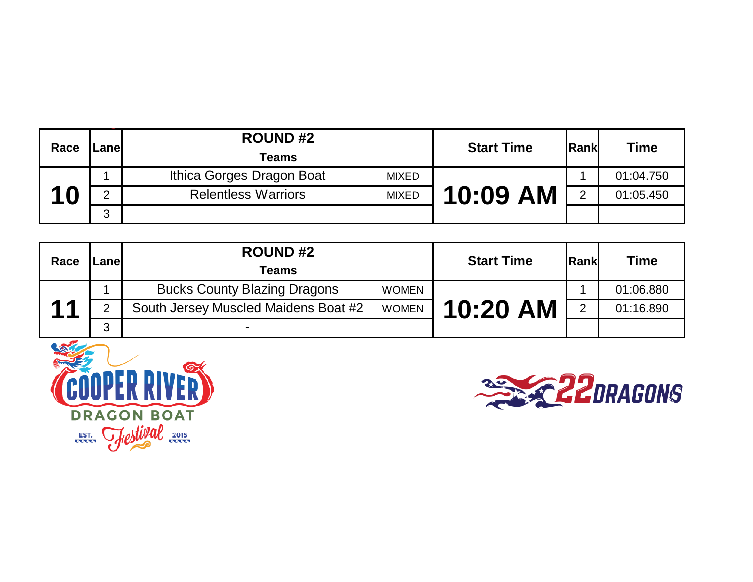| Race | .anel  | <b>ROUND#2</b><br><b>Teams</b>             | <b>Start Time</b> | <b>Rank</b> | <b>Time</b> |
|------|--------|--------------------------------------------|-------------------|-------------|-------------|
|      |        | Ithica Gorges Dragon Boat<br><b>MIXED</b>  |                   |             | 01:04.750   |
| 10   | ⌒      | <b>Relentless Warriors</b><br><b>MIXED</b> | 10:09 AM          | o           | 01:05.450   |
|      | ◠<br>د |                                            |                   |             |             |

| Race           | .anel  | <b>ROUND#2</b><br>Teams              |              | <b>Start Time</b> | Rank | <b>Time</b> |
|----------------|--------|--------------------------------------|--------------|-------------------|------|-------------|
|                |        | <b>Bucks County Blazing Dragons</b>  | <b>WOMEN</b> |                   |      | 01:06.880   |
| $\overline{4}$ |        | South Jersey Muscled Maidens Boat #2 | <b>WOMEN</b> | 10:20 AM          |      | 01:16.890   |
|                | ◠<br>J | $\blacksquare$                       |              |                   |      |             |



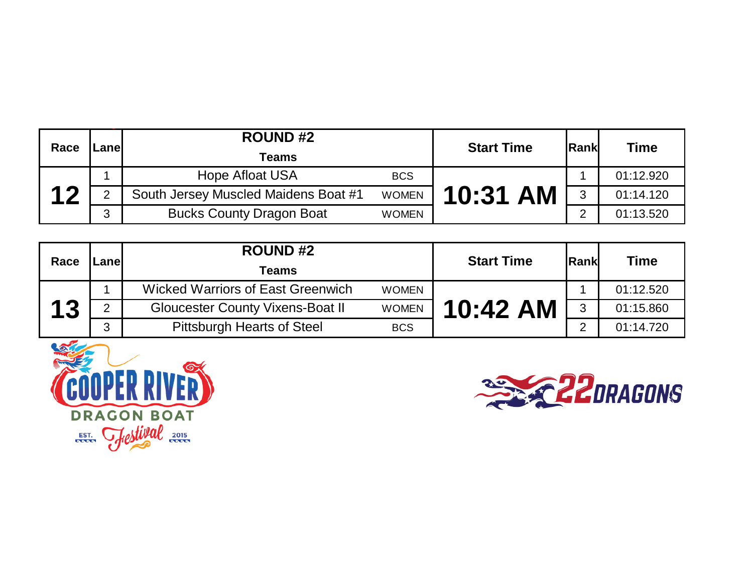| Race            | .anel  | <b>ROUND#2</b>                       |              | <b>Start Time</b> | <b>Rank</b> | Time      |
|-----------------|--------|--------------------------------------|--------------|-------------------|-------------|-----------|
|                 |        | <b>Teams</b>                         |              |                   |             |           |
|                 |        | <b>Hope Afloat USA</b>               | <b>BCS</b>   |                   |             | 01:12.920 |
| $\overline{17}$ |        | South Jersey Muscled Maidens Boat #1 | <b>WOMEN</b> | 10:31 AM          | າ           | 01:14.120 |
|                 | ◠<br>J | <b>Bucks County Dragon Boat</b>      | <b>WOMEN</b> |                   | ⌒           | 01:13.520 |

| Race |        | <b>ROUND#2</b>                           |              | <b>Start Time</b>    | Rank | <b>Time</b> |
|------|--------|------------------------------------------|--------------|----------------------|------|-------------|
|      | .anel  | Teams                                    |              |                      |      |             |
|      |        | <b>Wicked Warriors of East Greenwich</b> | <b>WOMEN</b> |                      |      | 01:12.520   |
| 13   |        | <b>Gloucester County Vixens-Boat II</b>  | <b>WOMEN</b> | $10:42 \, \text{AM}$ | 3    | 01:15.860   |
|      | ◠<br>J | <b>Pittsburgh Hearts of Steel</b>        | <b>BCS</b>   |                      |      | 01:14.720   |



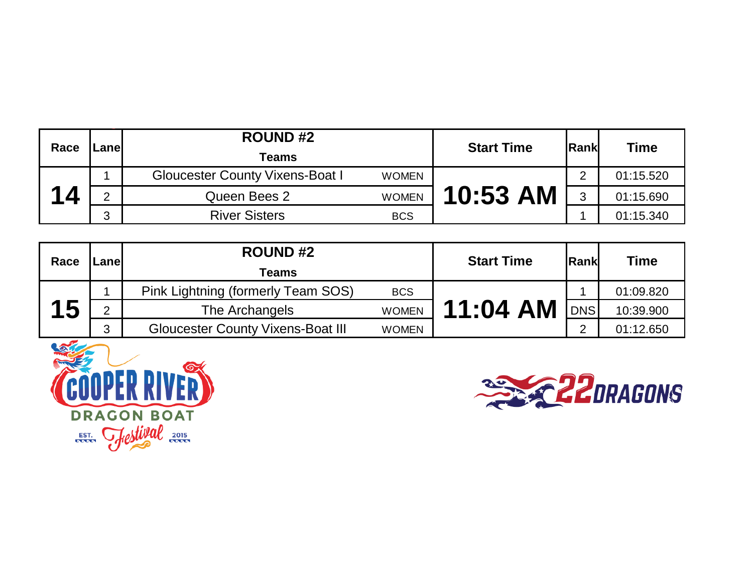| Race        | .anel  | <b>ROUND#2</b><br><b>Teams</b>         |              | <b>Start Time</b> | lRankl | Time      |
|-------------|--------|----------------------------------------|--------------|-------------------|--------|-----------|
|             |        | <b>Gloucester County Vixens-Boat I</b> | <b>WOMEN</b> |                   |        | 01:15.520 |
| <u> 1 д</u> | ⌒      | Queen Bees 2                           | <b>WOMEN</b> | 10:53 AM          | հ      | 01:15.690 |
|             | ◠<br>J | <b>River Sisters</b>                   | <b>BCS</b>   |                   |        | 01:15.340 |

| Race      | .anel | <b>ROUND#2</b><br>Teams                  |              | <b>Start Time</b> | <b>Rank</b> | <b>Time</b> |
|-----------|-------|------------------------------------------|--------------|-------------------|-------------|-------------|
|           |       | Pink Lightning (formerly Team SOS)       | <b>BCS</b>   |                   |             | 01:09.820   |
| <b>15</b> | C     | The Archangels                           | <b>WOMEN</b> | 11:04 AM          | <b>DNS</b>  | 10:39.900   |
|           | 3     | <b>Gloucester County Vixens-Boat III</b> | <b>WOMEN</b> |                   | ⌒           | 01:12.650   |



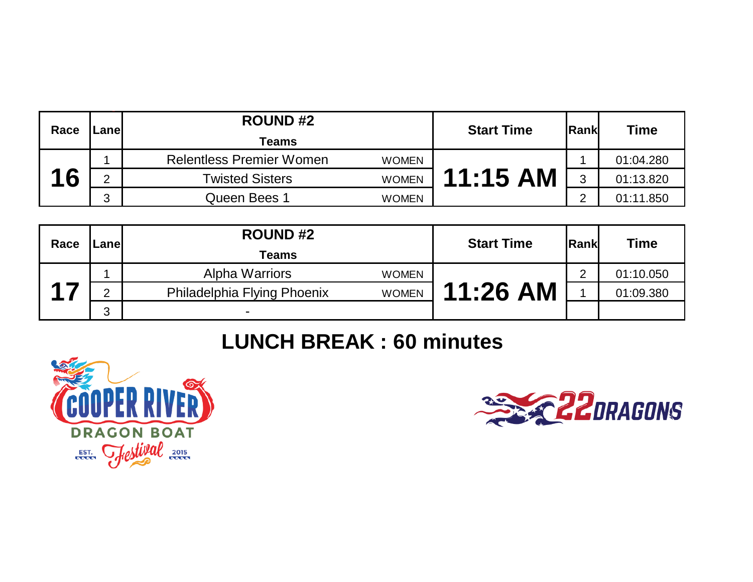| Race | _anel  | <b>ROUND#2</b>                                  | <b>Start Time</b> | <b>Rank</b> |                          |
|------|--------|-------------------------------------------------|-------------------|-------------|--------------------------|
|      |        | Teams                                           |                   |             | <b>Time</b><br>01:04.280 |
|      |        | <b>Relentless Premier Women</b><br><b>WOMEN</b> |                   |             |                          |
| 16   | C      | <b>Twisted Sisters</b><br><b>WOMEN</b>          | $11:15$ AM        | Ω           | 01:13.820                |
|      | C<br>J | Queen Bees 1<br><b>WOMEN</b>                    |                   |             | 01:11.850                |

| Race | _anel | <b>ROUND#2</b>                              | <b>Start Time</b> | <b>Rank</b> | <b>Time</b> |
|------|-------|---------------------------------------------|-------------------|-------------|-------------|
|      |       | <b>Teams</b>                                |                   |             |             |
|      |       | <b>Alpha Warriors</b><br><b>WOMEN</b>       |                   |             | 01:10.050   |
|      | ∩     | Philadelphia Flying Phoenix<br><b>WOMEN</b> | 11:26 AM          |             | 01:09.380   |
|      | 3     | -                                           |                   |             |             |

## **LUNCH BREAK : 60 minutes**



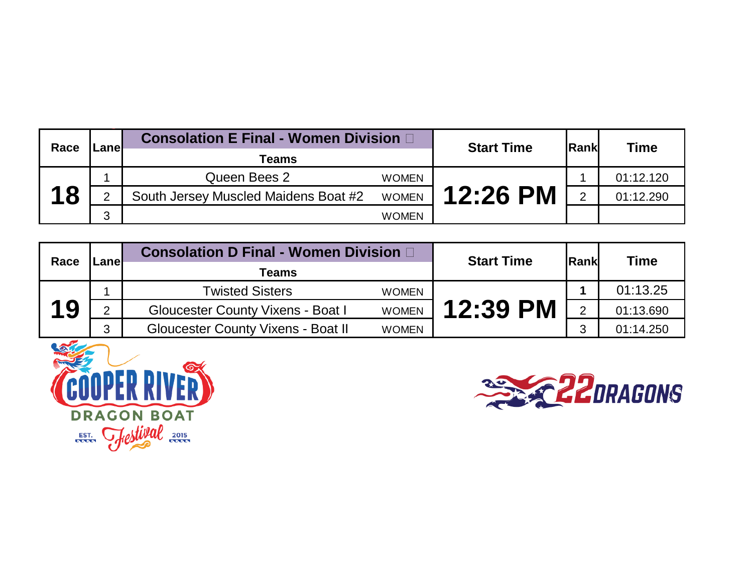| Race | <b>Consolation E Final - Women Division D</b><br>-anel |                                      |              | <b>Start Time</b> | <b>IRank</b> | <b>Time</b> |
|------|--------------------------------------------------------|--------------------------------------|--------------|-------------------|--------------|-------------|
|      |                                                        | Teams                                |              |                   |              |             |
| 18   |                                                        | Queen Bees 2                         | <b>WOMEN</b> |                   |              | 01:12.120   |
|      | ⌒                                                      | South Jersey Muscled Maidens Boat #2 | <b>WOMEN</b> | <b>12:26 PM</b>   |              | 01:12.290   |
|      | 3                                                      |                                      | <b>WOMEN</b> |                   |              |             |

| Race | _anel         | <b>Consolation D Final - Women Division D</b> |              | <b>Start Time</b> | <b>IRankl</b> | <b>Time</b> |
|------|---------------|-----------------------------------------------|--------------|-------------------|---------------|-------------|
|      |               | <b>Teams</b>                                  |              |                   |               |             |
|      |               | <b>Twisted Sisters</b>                        | <b>WOMEN</b> |                   |               | 01:13.25    |
| 19   | $\mathcal{D}$ | <b>Gloucester County Vixens - Boat I</b>      | <b>WOMEN</b> | 12:39 PM          |               | 01:13.690   |
|      | 3             | <b>Gloucester County Vixens - Boat II</b>     | <b>WOMEN</b> |                   |               | 01:14.250   |



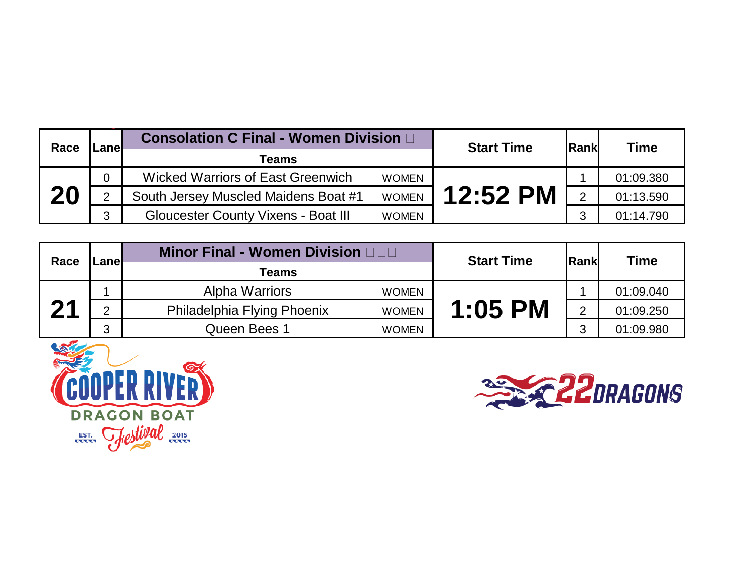| Race | .anel | <b>Consolation C Final - Women Division D</b> |              | <b>Start Time</b> | <b>IRank</b> | Time      |
|------|-------|-----------------------------------------------|--------------|-------------------|--------------|-----------|
|      |       | Teams                                         |              |                   |              |           |
|      | 0     | <b>Wicked Warriors of East Greenwich</b>      | <b>WOMEN</b> |                   |              | 01:09.380 |
| 20   | 2     | South Jersey Muscled Maidens Boat #1          | <b>WOMEN</b> | <b>12:52 PM</b>   |              | 01:13.590 |
|      | 3     | <b>Gloucester County Vixens - Boat III</b>    | <b>WOMEN</b> |                   |              | 01:14.790 |

| Race | .anel  | <b>Minor Final - Women Division ODD</b> |              | <b>Start Time</b> | lRankl | <b>Time</b> |
|------|--------|-----------------------------------------|--------------|-------------------|--------|-------------|
|      |        | <b>Teams</b>                            |              |                   |        |             |
|      |        | Alpha Warriors                          | <b>WOMEN</b> |                   |        | 01:09.040   |
| 04   | ◠      | Philadelphia Flying Phoenix             | <b>WOMEN</b> | $1:05$ PM         |        | 01:09.250   |
|      | ◠<br>ບ | Queen Bees 1                            | <b>WOMEN</b> |                   | ⌒      | 01:09.980   |



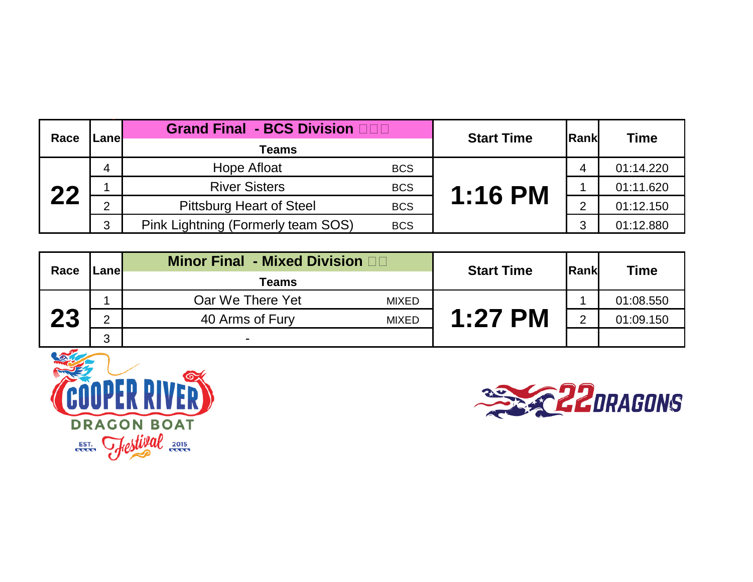| Race | Lanel | Grand Final - BCS Division <b>DDD</b> |            | <b>Start Time</b> | <b>IRankl</b> | <b>Time</b> |
|------|-------|---------------------------------------|------------|-------------------|---------------|-------------|
|      |       | <b>Teams</b>                          |            |                   |               | 01:14.220   |
|      |       | Hope Afloat                           | <b>BCS</b> |                   |               |             |
| つつ   |       | <b>River Sisters</b>                  | <b>BCS</b> | <b>1:16 PM</b>    |               | 01:11.620   |
|      | C     | <b>Pittsburg Heart of Steel</b>       | <b>BCS</b> |                   |               | 01:12.150   |
|      | 3     | Pink Lightning (Formerly team SOS)    | <b>BCS</b> |                   | ⌒             | 01:12.880   |

| Race | Lanel  | <b>Minor Final - Mixed Division Andrew</b> | <b>Start Time</b> | lRankl | <b>Time</b> |
|------|--------|--------------------------------------------|-------------------|--------|-------------|
|      |        | <b>Teams</b>                               |                   |        |             |
|      |        | Oar We There Yet<br><b>MIXED</b>           |                   |        | 01:08.550   |
| 23   | ◠      | 40 Arms of Fury<br><b>MIXED</b>            | $1:27$ PM         | っ      | 01:09.150   |
|      | ◠<br>J | $\blacksquare$                             |                   |        |             |